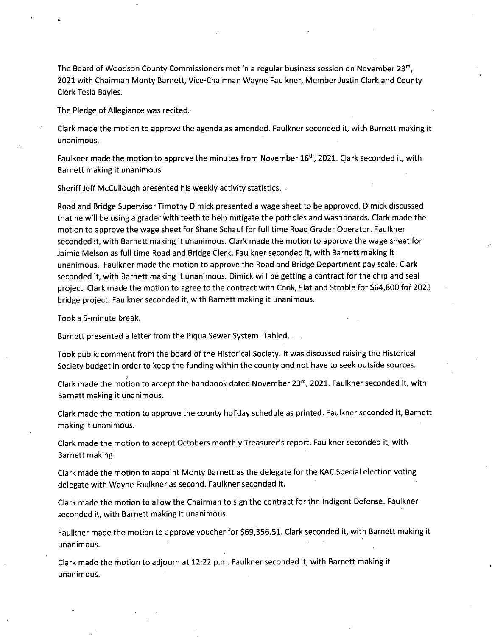The Board of Woodson County Commissioners met in a regular business session on November 23rd, 2021 with Chairman Monty Barnett, Vice-Chairman Wayne Faulkner, Member Justin Clark and County Clerk Tesla Bayles.

The Pledge of Allegiance was recited.

Clark made the motion to approve the agenda as amended. Faulkner seconded it, with Barnett making it unanimous.

Faulkner made the motion to approve the minutes from November 16<sup>th</sup>, 2021. Clark seconded it, with Barnett making it unanimous.

Sheriff Jeff McCullough presented his weekly activity statistics.

Road and Bridge Supervisor Timothy Dimick presented a wage sheet to be approved. Dimick discussed that he will be using a grader with teeth to help mitigate the potholes and washboards. Clark made the motion to approve the wage sheet for Shane Schauf for full time Road Grader Operator. Faulkner seconded it, with Barnett making it unanimous. Clark made the motion to approve the wage sheet for Jaimie Melson as full time Road and Bridge Clerk. Faulkner seconded it, with Barnett making it unanimous. Faulkner made the motion to approve the Road and Bridge Department pay scale. Clark seconded it, with Barnett making it unanimous. Dimick will be getting a contract for the chip and seal project. Clark made the motion to agree to the contract with Cook, Flat and Stroble for \$64,800 for 2023 bridge project. Faulkner seconded it, with Barnett making it unanimous.

Took a 5-minute break.

Barnett presented a letter from the Piqua Sewer System. Tabled.

Took public comment from the board of the Historical Society. It was discussed raising the Historical Society budget in order to keep the funding within the county and not have to seek outside sources.

Clark made the motion to accept the handbook dated November  $23^{rd}$ , 2021. Faulkner seconded it, with Barnett making it unanimous.

Clark made the motion to approve the county holiday schedule as printed. Faulkner seconded it, Barnett making it unanimous.

Clark made the motion to accept Octobers monthly Treasurer's report. Faulkner seconded it, with Barnett making.

Clark made the motion to appoint Monty Barnett as the delegate for the KAC Special election voting delegate with Wayne Faulkner as second. Faulkner seconded it.

Clark made the motion to allow the Chairman to sign the contract for the Indigent Defense. Faulkner seconded it, with Barnett making it unanimous.

Faulkner made the motion to approve voucher for \$69,356.51. Clark seconded it, with Barnett making it unanimous.

Clark made the motion to adjourn at 12:22 p.m. Faulkner seconded it, with Barnett making it unanimous.